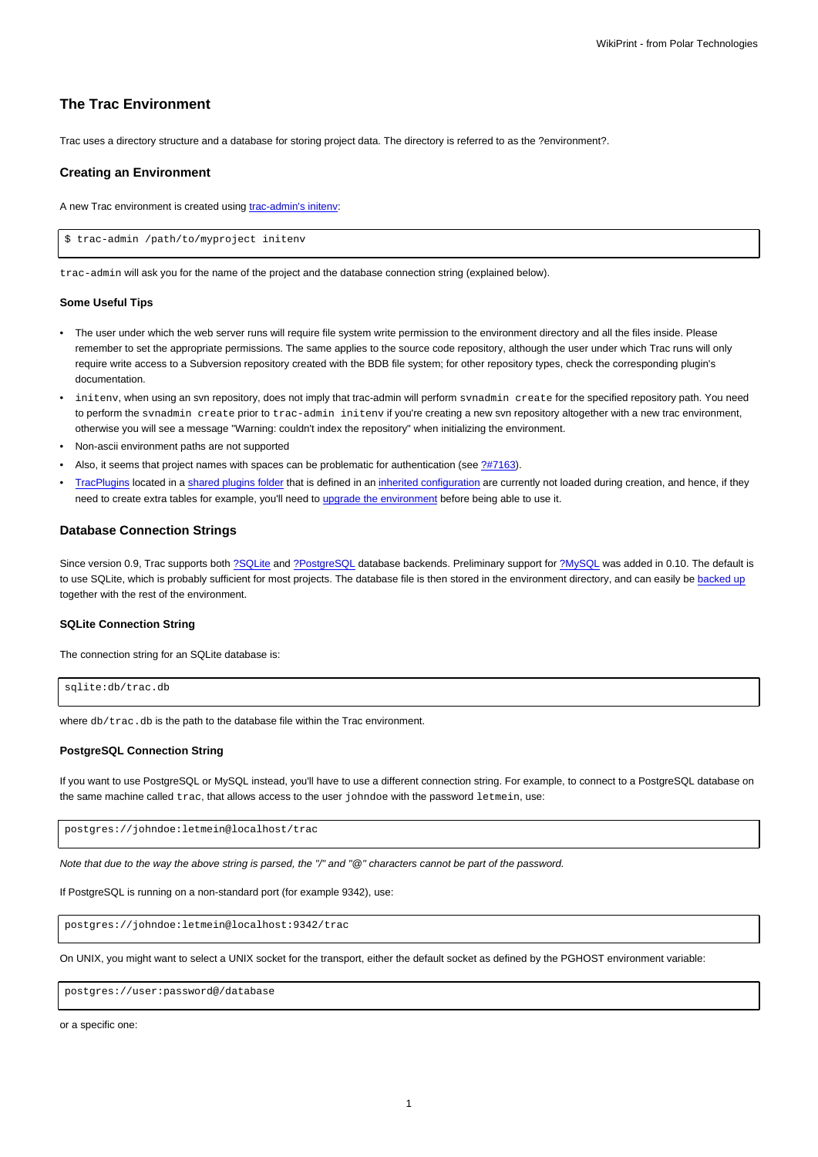# **The Trac Environment**

Trac uses a directory structure and a database for storing project data. The directory is referred to as the ?environment?.

## **Creating an Environment**

A new Trac environment is created using [trac-admin's initenv:](https://meteo.unican.es/trac/wiki/TracAdmin#initenv)

\$ trac-admin /path/to/myproject initenv

trac-admin will ask you for the name of the project and the database connection string (explained below).

#### **Some Useful Tips**

- The user under which the web server runs will require file system write permission to the environment directory and all the files inside. Please remember to set the appropriate permissions. The same applies to the source code repository, although the user under which Trac runs will only require write access to a Subversion repository created with the BDB file system; for other repository types, check the corresponding plugin's documentation.
- initenv, when using an svn repository, does not imply that trac-admin will perform svnadmin create for the specified repository path. You need to perform the synadmin create prior to trac-admin initeny if you're creating a new syn repository altogether with a new trac environment, otherwise you will see a message "Warning: couldn't index the repository" when initializing the environment.
- Non-ascii environment paths are not supported
- Also, it seems that project names with spaces can be problematic for authentication (see [?#7163](http://trac.edgewall.org/intertrac/%237163)).
- [TracPlugins](https://meteo.unican.es/trac/wiki/TracPlugins) located in a [shared plugins folder](https://meteo.unican.es/trac/wiki/TracIni#inherit-section) that is defined in an [inherited configuration](https://meteo.unican.es/trac/wiki/TracIni#GlobalConfiguration) are currently not loaded during creation, and hence, if they need to create extra tables for example, you'll need to [upgrade the environment](https://meteo.unican.es/trac/wiki/TracUpgrade#UpgradetheTracEnvironment) before being able to use it.

### **Database Connection Strings**

Since version 0.9, Trac supports both [?SQLite](http://sqlite.org/) and [?PostgreSQL](http://www.postgresql.org/) database backends. Preliminary support for [?MySQL](http://mysql.com/) was added in 0.10. The default is to use SQLite, which is probably sufficient for most projects. The database file is then stored in the environment directory, and can easily be [backed up](https://meteo.unican.es/trac/wiki/TracBackup) together with the rest of the environment.

# **SQLite Connection String**

The connection string for an SQLite database is:

```
sqlite:db/trac.db
```
where db/trac.db is the path to the database file within the Trac environment.

### **PostgreSQL Connection String**

If you want to use PostgreSQL or MySQL instead, you'll have to use a different connection string. For example, to connect to a PostgreSQL database on the same machine called trac, that allows access to the user johndoe with the password letmein, use:

postgres://johndoe:letmein@localhost/trac

Note that due to the way the above string is parsed, the "/" and "@" characters cannot be part of the password.

If PostgreSQL is running on a non-standard port (for example 9342), use:

postgres://johndoe:letmein@localhost:9342/trac

On UNIX, you might want to select a UNIX socket for the transport, either the default socket as defined by the PGHOST environment variable:

postgres://user:password@/database

or a specific one: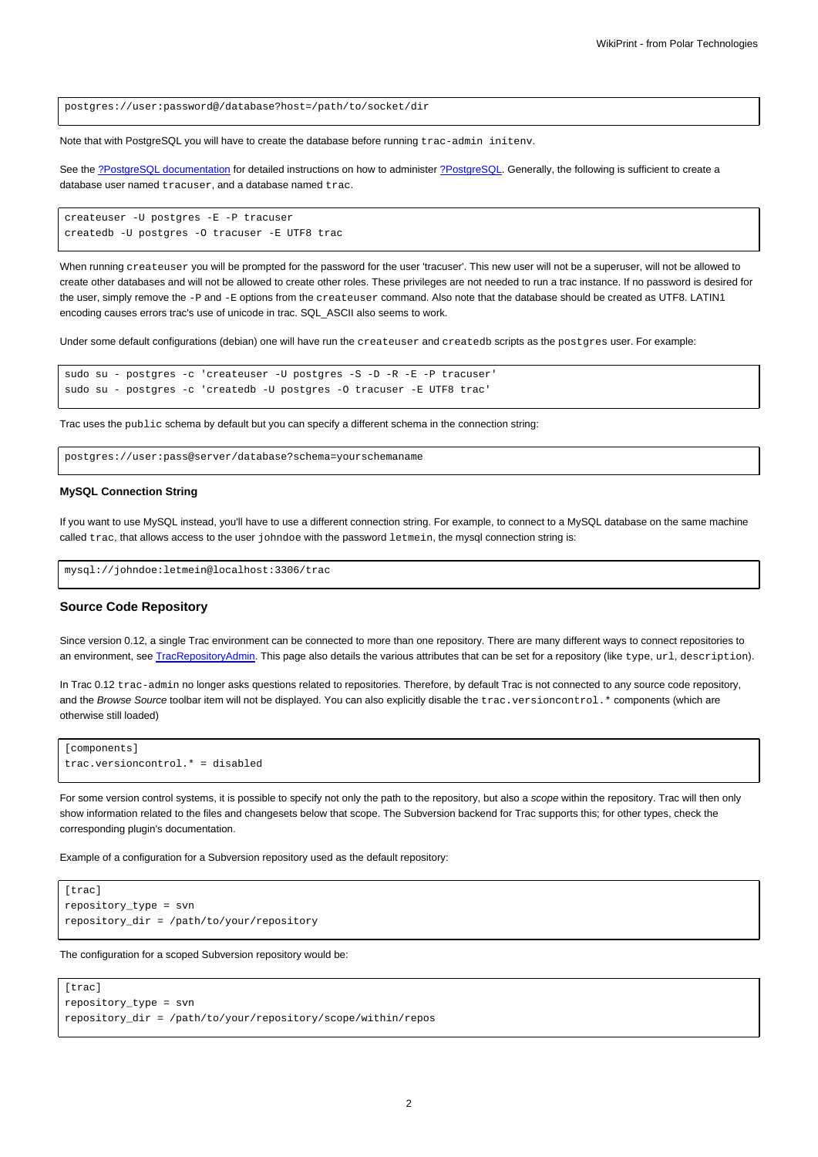postgres://user:password@/database?host=/path/to/socket/dir

Note that with PostgreSQL you will have to create the database before running trac-admin initenv.

See the [?PostgreSQL documentation](http://www.postgresql.org/docs/) for detailed instructions on how to administer [?PostgreSQL](http://postgresql.org). Generally, the following is sufficient to create a database user named tracuser, and a database named trac.

```
createuser -U postgres -E -P tracuser
createdb -U postgres -O tracuser -E UTF8 trac
```
When running createuser you will be prompted for the password for the user 'tracuser'. This new user will not be a superuser, will not be allowed to create other databases and will not be allowed to create other roles. These privileges are not needed to run a trac instance. If no password is desired for the user, simply remove the -P and -E options from the createuser command. Also note that the database should be created as UTF8. LATIN1 encoding causes errors trac's use of unicode in trac. SQL\_ASCII also seems to work.

Under some default configurations (debian) one will have run the createuser and createdb scripts as the postgres user. For example:

```
sudo su - postgres -c 'createuser -U postgres -S -D -R -E -P tracuser'
sudo su - postgres -c 'createdb -U postgres -O tracuser -E UTF8 trac'
```
Trac uses the public schema by default but you can specify a different schema in the connection string:

postgres://user:pass@server/database?schema=yourschemaname

#### **MySQL Connection String**

If you want to use MySQL instead, you'll have to use a different connection string. For example, to connect to a MySQL database on the same machine called trac, that allows access to the user johndoe with the password letmein, the mysql connection string is:

mysql://johndoe:letmein@localhost:3306/trac

# **Source Code Repository**

Since version 0.12, a single Trac environment can be connected to more than one repository. There are many different ways to connect repositories to an environment, see [TracRepositoryAdmin.](https://meteo.unican.es/trac/wiki/TracRepositoryAdmin) This page also details the various attributes that can be set for a repository (like type, url, description).

In Trac 0.12 trac-admin no longer asks questions related to repositories. Therefore, by default Trac is not connected to any source code repository, and the Browse Source toolbar item will not be displayed. You can also explicitly disable the trac.versioncontrol.\* components (which are otherwise still loaded)

```
[components]
trac.versioncontrol.* = disabled
```
For some version control systems, it is possible to specify not only the path to the repository, but also a scope within the repository. Trac will then only show information related to the files and changesets below that scope. The Subversion backend for Trac supports this; for other types, check the corresponding plugin's documentation.

Example of a configuration for a Subversion repository used as the default repository:

```
[trac]
repository_type = svn
repository_dir = /path/to/your/repository
```
The configuration for a scoped Subversion repository would be:

```
[trac]
repository_type = svn
repository_dir = /path/to/your/repository/scope/within/repos
```